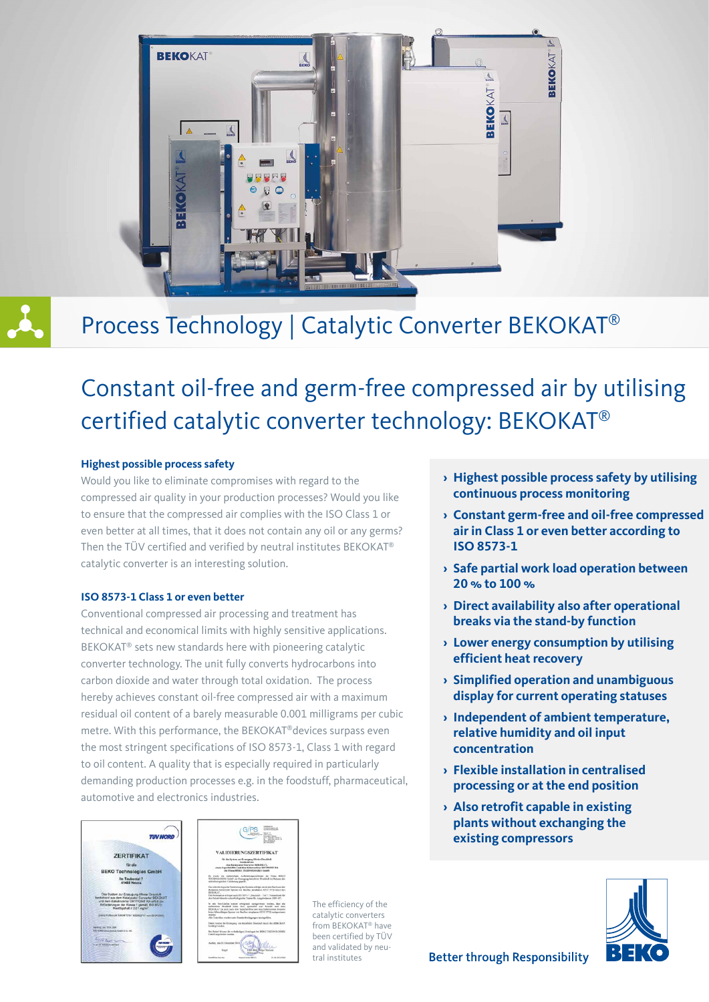

## Process Technology | Catalytic Converter BEKOKAT®

## Constant oil-free and germ-free compressed air by utilising certified catalytic converter technology: BEKOKAT®

#### **Highest possible process safety**

Would you like to eliminate compromises with regard to the compressed air quality in your production processes? Would you like to ensure that the compressed air complies with the ISO Class 1 or even better at all times, that it does not contain any oil or any germs? Then the TÜV certified and verified by neutral institutes BEKOKAT® catalytic converter is an interesting solution.

#### **ISO 8573-1 Class 1 or even better**

Conventional compressed air processing and treatment has technical and economical limits with highly sensitive applications. BEKOKAT® sets new standards here with pioneering catalytic converter technology. The unit fully converts hydrocarbons into carbon dioxide and water through total oxidation. The process hereby achieves constant oil-free compressed air with a maximum residual oil content of a barely measurable 0.001 milligrams per cubic metre. With this performance, the BEKOKAT®devices surpass even the most stringent specifications of ISO 8573-1, Class 1 with regard to oil content. A quality that is especially required in particularly demanding production processes e.g. in the foodstuff, pharmaceutical, automotive and electronics industries.





The efficiency of the catalytic converters from BEKOKAT® have been certified by TÜV and validated by neutral institutes

- **› Highest possible process safety by utilising continuous process monitoring**
- **› Constant germ-free and oil-free compressed air in Class 1 or even better according to ISO 8573-1**
- **› Safe partial work load operation between 20 % to 100 %**
- **› Direct availability also after operational breaks via the stand-by function**
- **› Lower energy consumption by utilising efficient heat recovery**
- **› Simplified operation and unambiguous display for current operating statuses**
- **› Independent of ambient temperature, relative humidity and oil input concentration**
- **› Flexible installation in centralised processing or at the end position**
- **› Also retrofit capable in existing plants without exchanging the existing compressors**

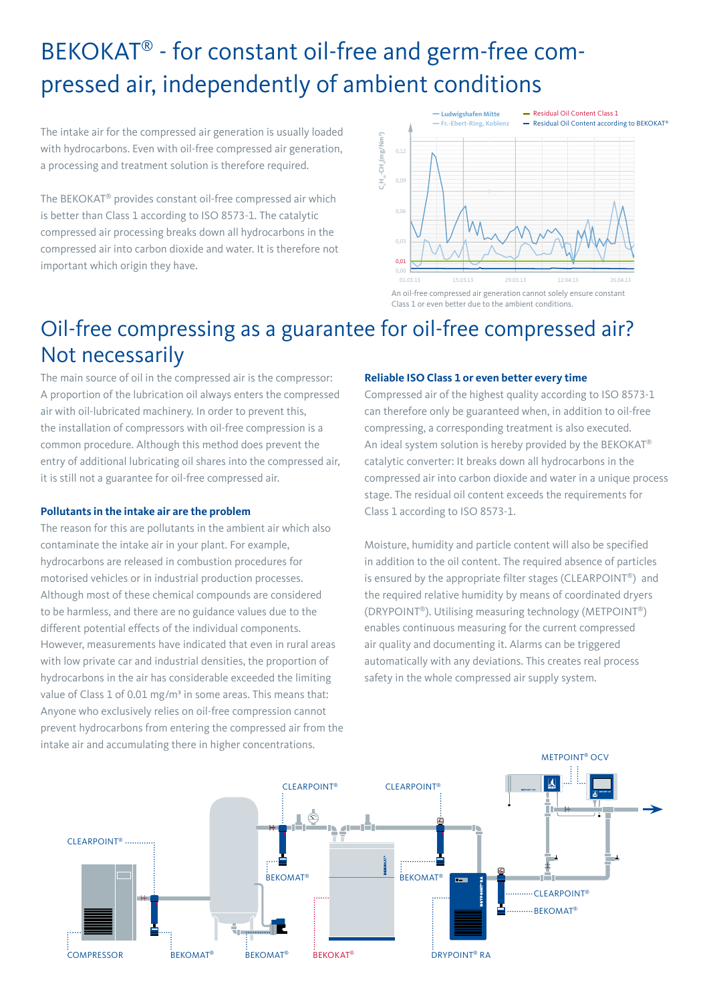## BEKOKAT® - for constant oil-free and germ-free compressed air, independently of ambient conditions

The intake air for the compressed air generation is usually loaded with hydrocarbons. Even with oil-free compressed air generation, a processing and treatment solution is therefore required.

The BEKOKAT® provides constant oil-free compressed air which is better than Class 1 according to ISO 8573-1. The catalytic compressed air processing breaks down all hydrocarbons in the compressed air into carbon dioxide and water. It is therefore not important which origin they have.



An oil-free compressed air generation cannot solely ensure constant Class 1 or even better due to the ambient conditions.

### Oil-free compressing as a guarantee for oil-free compressed air? Not necessarily

The main source of oil in the compressed air is the compressor: A proportion of the lubrication oil always enters the compressed air with oil-lubricated machinery. In order to prevent this, the installation of compressors with oil-free compression is a common procedure. Although this method does prevent the entry of additional lubricating oil shares into the compressed air, it is still not a guarantee for oil-free compressed air.

### **Pollutants in the intake air are the problem**

The reason for this are pollutants in the ambient air which also contaminate the intake air in your plant. For example, hydrocarbons are released in combustion procedures for motorised vehicles or in industrial production processes. Although most of these chemical compounds are considered to be harmless, and there are no guidance values due to the different potential effects of the individual components. However, measurements have indicated that even in rural areas with low private car and industrial densities, the proportion of hydrocarbons in the air has considerable exceeded the limiting value of Class 1 of 0.01 mg/m<sup>3</sup> in some areas. This means that: Anyone who exclusively relies on oil-free compression cannot prevent hydrocarbons from entering the compressed air from the intake air and accumulating there in higher concentrations.

### **Reliable ISO Class 1 or even better every time**

Compressed air of the highest quality according to ISO 8573-1 can therefore only be guaranteed when, in addition to oil-free compressing, a corresponding treatment is also executed. An ideal system solution is hereby provided by the BEKOKAT® catalytic converter: It breaks down all hydrocarbons in the compressed air into carbon dioxide and water in a unique process stage. The residual oil content exceeds the requirements for Class 1 according to ISO 8573-1.

Moisture, humidity and particle content will also be specified in addition to the oil content. The required absence of particles is ensured by the appropriate filter stages (CLEARPOINT®) and the required relative humidity by means of coordinated dryers (DRYPOINT®). Utilising measuring technology (METPOINT®) enables continuous measuring for the current compressed air quality and documenting it. Alarms can be triggered automatically with any deviations. This creates real process safety in the whole compressed air supply system.

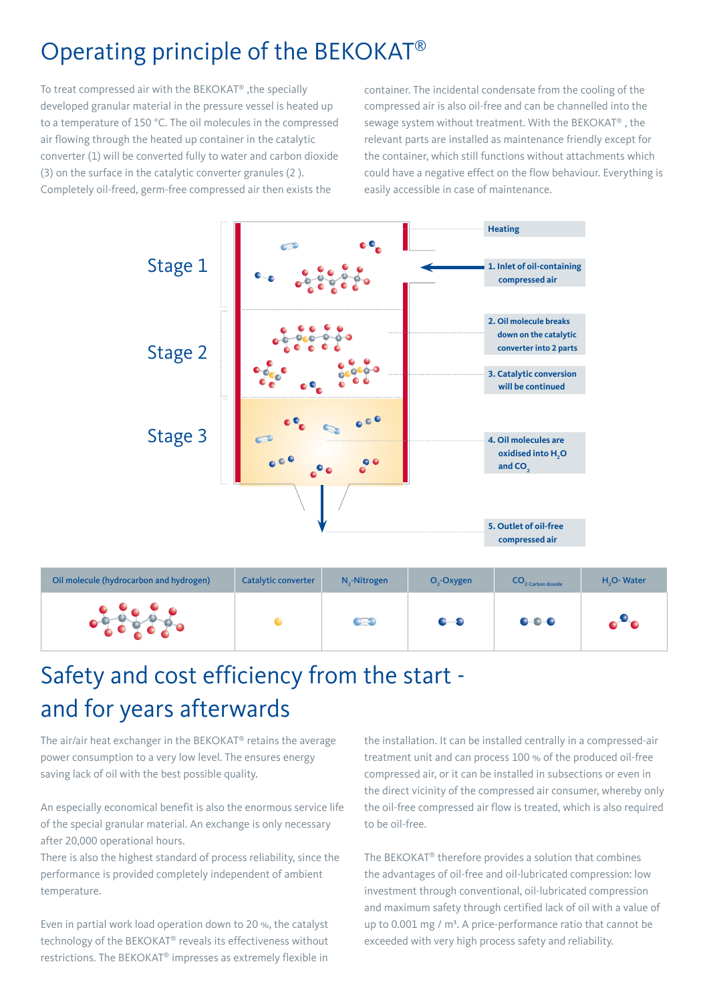### Operating principle of the BEKOKAT®

To treat compressed air with the BEKOKAT® ,the specially developed granular material in the pressure vessel is heated up to a temperature of 150 °C. The oil molecules in the compressed air flowing through the heated up container in the catalytic converter (1) will be converted fully to water and carbon dioxide (3) on the surface in the catalytic converter granules (2 ). Completely oil-freed, germ-free compressed air then exists the

container. The incidental condensate from the cooling of the compressed air is also oil-free and can be channelled into the sewage system without treatment. With the BEKOKAT® , the relevant parts are installed as maintenance friendly except for the container, which still functions without attachments which could have a negative effect on the flow behaviour. Everything is easily accessible in case of maintenance.



| Oil molecule (hydrocarbon and hydrogen) | Catalytic converter | $N_{2}$ -Nitrogen | $O2$ -Oxygen                         | $CO2$ -Carbon dioxide | H <sub>2</sub> O-Water |
|-----------------------------------------|---------------------|-------------------|--------------------------------------|-----------------------|------------------------|
|                                         |                     | CO                | $\bullet\hspace{-4pt}-\hspace{-4pt}$ | $0 - 0 - 0$           | $\bullet$ $\bullet$    |

## Safety and cost efficiency from the start and for years afterwards

The air/air heat exchanger in the BEKOKAT® retains the average power consumption to a very low level. The ensures energy saving lack of oil with the best possible quality.

An especially economical benefit is also the enormous service life of the special granular material. An exchange is only necessary after 20,000 operational hours.

There is also the highest standard of process reliability, since the performance is provided completely independent of ambient temperature.

Even in partial work load operation down to 20 %, the catalyst technology of the BEKOKAT® reveals its effectiveness without restrictions. The BEKOKAT® impresses as extremely flexible in

the installation. It can be installed centrally in a compressed-air treatment unit and can process 100 % of the produced oil-free compressed air, or it can be installed in subsections or even in the direct vicinity of the compressed air consumer, whereby only the oil-free compressed air flow is treated, which is also required to be oil-free.

The BEKOKAT® therefore provides a solution that combines the advantages of oil-free and oil-lubricated compression: low investment through conventional, oil-lubricated compression and maximum safety through certified lack of oil with a value of up to 0.001 mg / m<sup>3</sup>. A price-performance ratio that cannot be exceeded with very high process safety and reliability.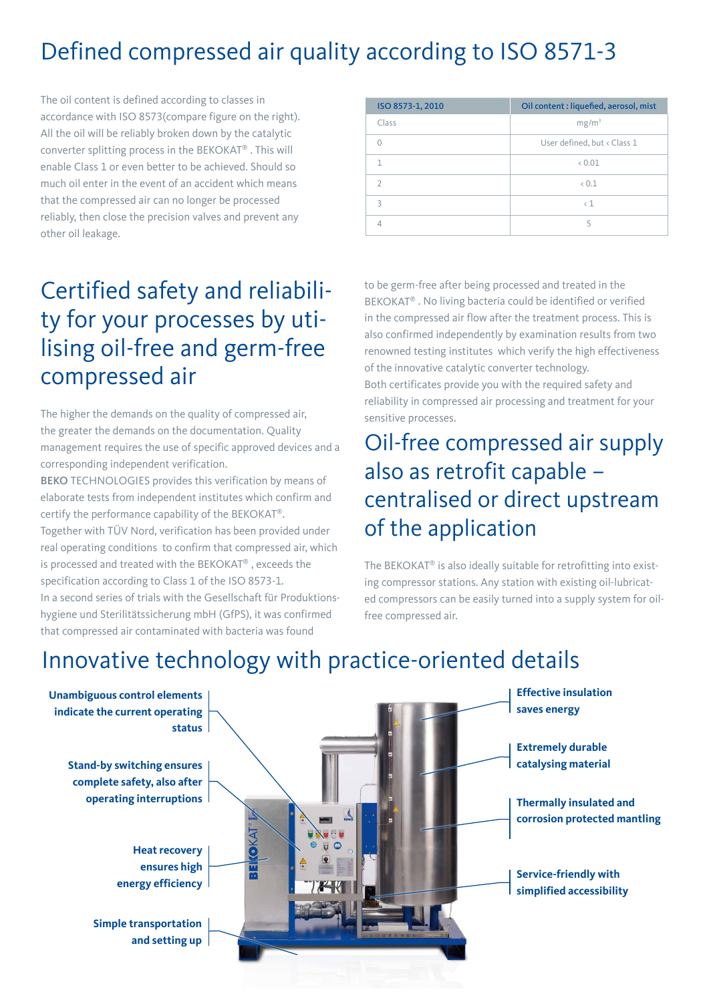## Defined compressed air quality according to ISO 8571-3

The oil content is defined according to classes in accordance with ISO 8573(compare figure on the right). All the oil will be reliably broken down by the catalytic converter splitting process in the BEKOKAT® . This will enable Class 1 or even better to be achieved. Should so much oil enter in the event of an accident which means that the compressed air can no longer be processed reliably, then close the precision valves and prevent any other oil leakage.

## Certified safety and reliability for your processes by utilising oil-free and germ-free compressed air

The higher the demands on the quality of compressed air, the greater the demands on the documentation. Quality management requires the use of specific approved devices and a corresponding independent verification.

BEKO TECHNOLOGIES provides this verification by means of elaborate tests from independent institutes which confirm and certify the performance capability of the BEKOKAT®. Together with TÜV Nord, verification has been provided under real operating conditions to confirm that compressed air, which is processed and treated with the BEKOKAT® , exceeds the specification according to Class 1 of the ISO 8573-1. In a second series of trials with the Gesellschaft für Produktionshygiene und Sterilitätssicherung mbH (GfPS), it was confirmed that compressed air contaminated with bacteria was found

| ISO 8573-1, 2010 | Oil content : liquefied, aerosol, mist |  |  |
|------------------|----------------------------------------|--|--|
| Class            | mg/m <sup>3</sup>                      |  |  |
|                  | User defined, but < Class 1            |  |  |
|                  | 0.01                                   |  |  |
| $\mathcal{D}$    | 0.1                                    |  |  |
| $\mathbf{R}$     | $\langle$ 1                            |  |  |
|                  | 5                                      |  |  |

to be germ-free after being processed and treated in the BEKOKAT® . No living bacteria could be identified or verified in the compressed air flow after the treatment process. This is also confirmed independently by examination results from two renowned testing institutes which verify the high effectiveness of the innovative catalytic converter technology. Both certificates provide you with the required safety and

reliability in compressed air processing and treatment for your sensitive processes.

### Oil-free compressed air supply also as retrofit capable – centralised or direct upstream of the application

The BEKOKAT® is also ideally suitable for retrofitting into existing compressor stations. Any station with existing oil-lubricated compressors can be easily turned into a supply system for oilfree compressed air.

# Innovative technology with practice-oriented details

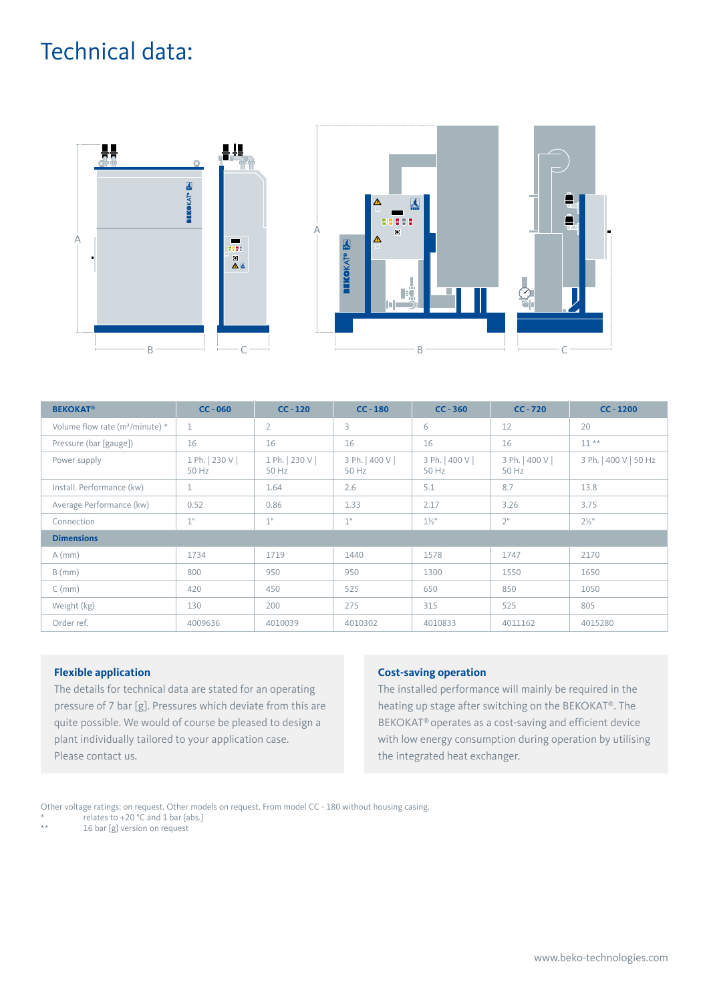### Technical data:



| <b>BEKOKAT<sup>®</sup></b>          | $CC - 060$               | $CC - 120$               | $CC - 180$               | $CC - 360$               | $CC - 720$               | $CC - 1200$           |
|-------------------------------------|--------------------------|--------------------------|--------------------------|--------------------------|--------------------------|-----------------------|
| Volume flow rate ( $m^3$ /minute) * | 1                        | $\overline{2}$           | 3                        | 6                        | 12                       | 20                    |
| Pressure (bar [gauge])              | 16                       | 16                       | 16                       | 16                       | 16                       | $11**$                |
| Power supply                        | 1 Ph.   230 V  <br>50 Hz | 1 Ph.   230 V  <br>50 Hz | 3 Ph.   400 V  <br>50 Hz | 3 Ph.   400 V  <br>50 Hz | 3 Ph.   400 V  <br>50 Hz | 3 Ph.   400 V   50 Hz |
| Install. Performance (kw)           | 1                        | 1.64                     | 2.6                      | 5.1                      | 8.7                      | 13.8                  |
| Average Performance (kw)            | 0.52                     | 0.86                     | 1.33                     | 2.17                     | 3.26                     | 3.75                  |
| Connection                          | 1"                       | 1"                       | 1"                       | $1\frac{1}{2}$ "         | 2"                       | $2\frac{1}{2}$ "      |
| <b>Dimensions</b>                   |                          |                          |                          |                          |                          |                       |
| $A$ (mm)                            | 1734                     | 1719                     | 1440                     | 1578                     | 1747                     | 2170                  |
| $B$ (mm)                            | 800                      | 950                      | 950                      | 1300                     | 1550                     | 1650                  |
| $C$ (mm)                            | 420                      | 450                      | 525                      | 650                      | 850                      | 1050                  |
| Weight (kg)                         | 130                      | 200                      | 275                      | 315                      | 525                      | 805                   |
| Order ref.                          | 4009636                  | 4010039                  | 4010302                  | 4010833                  | 4011162                  | 4015280               |

### **Flexible application**

The details for technical data are stated for an operating pressure of 7 bar [g]. Pressures which deviate from this are quite possible. We would of course be pleased to design a plant individually tailored to your application case. Please contact us.

#### **Cost-saving operation**

The installed performance will mainly be required in the heating up stage after switching on the BEKOKAT®. The BEKOKAT® operates as a cost-saving and efficient device with low energy consumption during operation by utilising the integrated heat exchanger.

Other voltage ratings: on request. Other models on request. From model CC - 180 without housing casing.

\* relates to  $+20$  °C and 1 bar [abs.]

16 bar [g] version on request